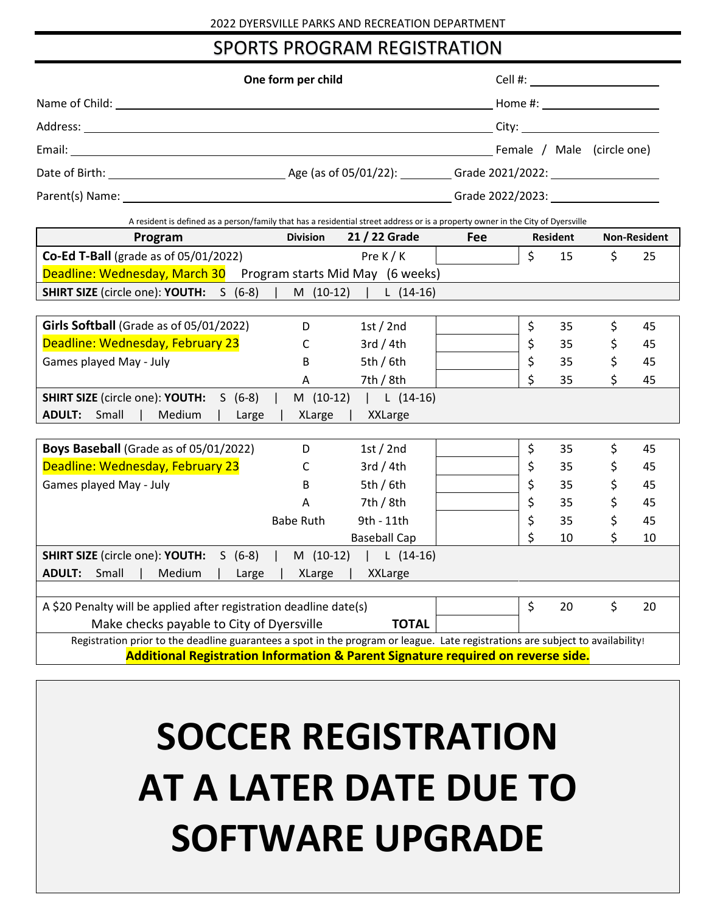## SPORTS PROGRAM REGISTRATION

| One form per child                                                                                                                         |                  |                       |            |                    |                 |    |                     |
|--------------------------------------------------------------------------------------------------------------------------------------------|------------------|-----------------------|------------|--------------------|-----------------|----|---------------------|
| Name of Child: Name of Child:                                                                                                              |                  |                       |            |                    |                 |    |                     |
|                                                                                                                                            |                  |                       |            |                    |                 |    |                     |
|                                                                                                                                            |                  |                       |            |                    |                 |    |                     |
|                                                                                                                                            |                  |                       |            |                    |                 |    |                     |
|                                                                                                                                            |                  |                       |            |                    |                 |    |                     |
|                                                                                                                                            |                  |                       |            |                    |                 |    |                     |
| A resident is defined as a person/family that has a residential street address or is a property owner in the City of Dyersville<br>Program | <b>Division</b>  | 21 / 22 Grade         | <b>Fee</b> |                    | <b>Resident</b> |    | <b>Non-Resident</b> |
| <b>Co-Ed T-Ball</b> (grade as of 05/01/2022)                                                                                               |                  | Pre $K/K$             |            | \$                 | 15              | \$ | 25                  |
| Deadline: Wednesday, March 30 Program starts Mid May (6 weeks)                                                                             |                  |                       |            |                    |                 |    |                     |
| <b>SHIRT SIZE</b> (circle one): <b>YOUTH:</b> S (6-8)                                                                                      |                  | M (10-12)   L (14-16) |            |                    |                 |    |                     |
|                                                                                                                                            |                  |                       |            |                    |                 |    |                     |
| Girls Softball (Grade as of 05/01/2022)                                                                                                    | D                | 1st/2nd               |            | \$                 | 35              | \$ | 45                  |
| Deadline: Wednesday, February 23                                                                                                           | C                | 3rd/4th               |            | \$                 | 35              | \$ | 45                  |
| Games played May - July                                                                                                                    | B                | 5th / 6th             |            | \$                 | 35              | \$ | 45                  |
|                                                                                                                                            | A                | 7th / $8th$           |            | $\mathsf{\dot{S}}$ | 35              | \$ | 45                  |
| <b>SHIRT SIZE</b> (circle one): <b>YOUTH:</b> S (6-8)                                                                                      | M (10-12)        | $\lfloor$ (14-16)     |            |                    |                 |    |                     |
| Medium<br><b>ADULT:</b> Small                                                                                                              | Large            | XLarge   XXLarge      |            |                    |                 |    |                     |
|                                                                                                                                            |                  |                       |            |                    |                 |    |                     |
| Boys Baseball (Grade as of 05/01/2022)                                                                                                     | D                | 1st $/$ 2nd           |            | \$                 | 35              | \$ | 45                  |
| Deadline: Wednesday, February 23                                                                                                           | C                | 3rd/4th               |            | \$                 | 35              | \$ | 45                  |
| Games played May - July                                                                                                                    | B                | 5th/6th               |            | \$                 | 35              | \$ | 45                  |
|                                                                                                                                            | Α                | 7th / $8th$           |            | \$                 | 35              | \$ | 45                  |
|                                                                                                                                            | <b>Babe Ruth</b> | 9th - 11th            |            | \$                 | 35              | \$ | 45                  |
|                                                                                                                                            |                  | <b>Baseball Cap</b>   |            | \$                 | 10              | \$ | 10                  |
| <b>SHIRT SIZE</b> (circle one): <b>YOUTH:</b> S (6-8)                                                                                      |                  | M (10-12)   L (14-16) |            |                    |                 |    |                     |
| <b>ADULT:</b> Small<br>Medium                                                                                                              | Large<br>XLarge  | <b>XXLarge</b>        |            |                    |                 |    |                     |
| A \$20 Penalty will be applied after registration deadline date(s)                                                                         |                  |                       |            | \$                 | 20              | \$ | 20                  |
| Make checks payable to City of Dyersville                                                                                                  |                  | <b>TOTAL</b>          |            |                    |                 |    |                     |
| Registration prior to the deadline guarantees a spot in the program or league. Late registrations are subject to availability!             |                  |                       |            |                    |                 |    |                     |
| Additional Registration Information & Parent Signature required on reverse side.                                                           |                  |                       |            |                    |                 |    |                     |
|                                                                                                                                            |                  |                       |            |                    |                 |    |                     |
|                                                                                                                                            |                  |                       |            |                    |                 |    |                     |
|                                                                                                                                            |                  |                       |            |                    |                 |    |                     |

# **SOCCER REGISTRATION AT A LATER DATE DUE TO SOFTWARE UPGRADE**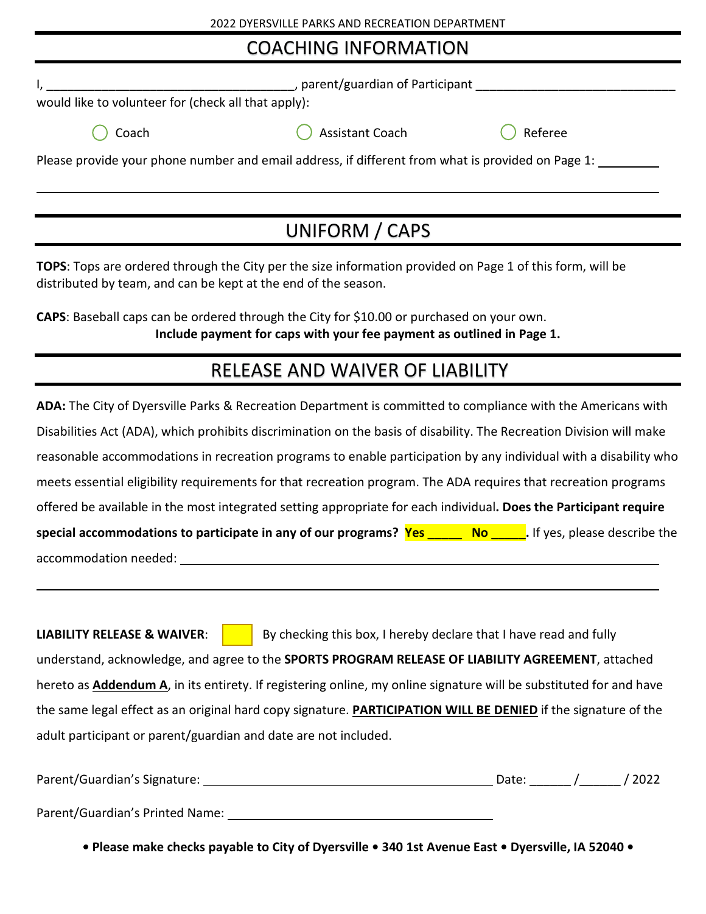## COACHING INFORMATION

| would like to volunteer for (check all that apply):                                               |         |
|---------------------------------------------------------------------------------------------------|---------|
| <b>Assistant Coach</b>                                                                            | Referee |
| Please provide your phone number and email address, if different from what is provided on Page 1: |         |
|                                                                                                   |         |
|                                                                                                   |         |

UNIFORM / CAPS

**TOPS**: Tops are ordered through the City per the size information provided on Page 1 of this form, will be distributed by team, and can be kept at the end of the season.

**CAPS**: Baseball caps can be ordered through the City for \$10.00 or purchased on your own. **Include payment for caps with your fee payment as outlined in Page 1.**

## RELEASE AND WAIVER OF LIABILITY

**ADA:** The City of Dyersville Parks & Recreation Department is committed to compliance with the Americans with Disabilities Act (ADA), which prohibits discrimination on the basis of disability. The Recreation Division will make reasonable accommodations in recreation programs to enable participation by any individual with a disability who meets essential eligibility requirements for that recreation program. The ADA requires that recreation programs offered be available in the most integrated setting appropriate for each individual**. Does the Participant require special accommodations to participate in any of our programs? Yes \_\_\_\_\_\_ No \_\_\_\_\_**. If yes, please describe the accommodation needed:

**LIABILITY RELEASE & WAIVER:** By checking this box, I hereby declare that I have read and fully understand, acknowledge, and agree to the **SPORTS PROGRAM RELEASE OF LIABILITY AGREEMENT**, attached hereto as **Addendum A**, in its entirety. If registering online, my online signature will be substituted for and have the same legal effect as an original hard copy signature. **PARTICIPATION WILL BE DENIED** if the signature of the adult participant or parent/guardian and date are not included.

| Parent/Guardian's Signature:    | Date: | 2022 / |
|---------------------------------|-------|--------|
| Parent/Guardian's Printed Name: |       |        |

*•* **Please make checks payable to City of Dyersville • 340 1st Avenue East • Dyersville, IA 52040 •**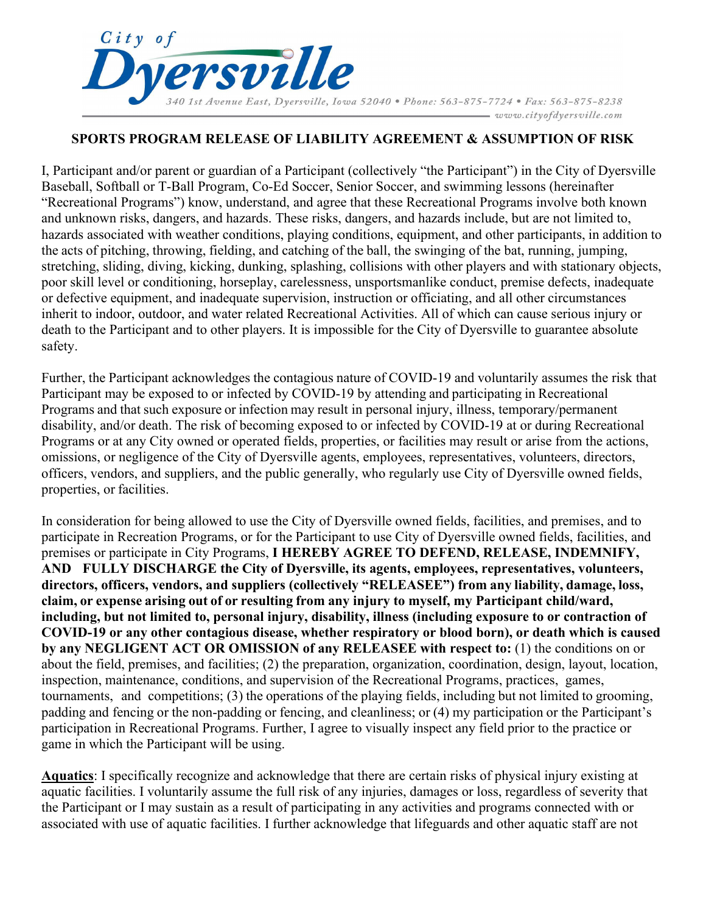

#### **SPORTS PROGRAM RELEASE OF LIABILITY AGREEMENT & ASSUMPTION OF RISK**

I, Participant and/or parent or guardian of a Participant (collectively "the Participant") in the City of Dyersville Baseball, Softball or T-Ball Program, Co-Ed Soccer, Senior Soccer, and swimming lessons (hereinafter "Recreational Programs") know, understand, and agree that these Recreational Programs involve both known and unknown risks, dangers, and hazards. These risks, dangers, and hazards include, but are not limited to, hazards associated with weather conditions, playing conditions, equipment, and other participants, in addition to the acts of pitching, throwing, fielding, and catching of the ball, the swinging of the bat, running, jumping, stretching, sliding, diving, kicking, dunking, splashing, collisions with other players and with stationary objects, poor skill level or conditioning, horseplay, carelessness, unsportsmanlike conduct, premise defects, inadequate or defective equipment, and inadequate supervision, instruction or officiating, and all other circumstances inherit to indoor, outdoor, and water related Recreational Activities. All of which can cause serious injury or death to the Participant and to other players. It is impossible for the City of Dyersville to guarantee absolute safety.

Further, the Participant acknowledges the contagious nature of COVID-19 and voluntarily assumes the risk that Participant may be exposed to or infected by COVID-19 by attending and participating in Recreational Programs and that such exposure or infection may result in personal injury, illness, temporary/permanent disability, and/or death. The risk of becoming exposed to or infected by COVID-19 at or during Recreational Programs or at any City owned or operated fields, properties, or facilities may result or arise from the actions, omissions, or negligence of the City of Dyersville agents, employees, representatives, volunteers, directors, officers, vendors, and suppliers, and the public generally, who regularly use City of Dyersville owned fields, properties, or facilities.

In consideration for being allowed to use the City of Dyersville owned fields, facilities, and premises, and to participate in Recreation Programs, or for the Participant to use City of Dyersville owned fields, facilities, and premises or participate in City Programs, **I HEREBY AGREE TO DEFEND, RELEASE, INDEMNIFY, AND FULLY DISCHARGE the City of Dyersville, its agents, employees, representatives, volunteers, directors, officers, vendors, and suppliers (collectively "RELEASEE") from any liability, damage, loss, claim, or expense arising out of or resulting from any injury to myself, my Participant child/ward, including, but not limited to, personal injury, disability, illness (including exposure to or contraction of COVID-19 or any other contagious disease, whether respiratory or blood born), or death which is caused by any NEGLIGENT ACT OR OMISSION of any RELEASEE with respect to:** (1) the conditions on or about the field, premises, and facilities; (2) the preparation, organization, coordination, design, layout, location, inspection, maintenance, conditions, and supervision of the Recreational Programs, practices, games, tournaments, and competitions; (3) the operations of the playing fields, including but not limited to grooming, padding and fencing or the non-padding or fencing, and cleanliness; or (4) my participation or the Participant's participation in Recreational Programs. Further, I agree to visually inspect any field prior to the practice or game in which the Participant will be using.

**Aquatics**: I specifically recognize and acknowledge that there are certain risks of physical injury existing at aquatic facilities. I voluntarily assume the full risk of any injuries, damages or loss, regardless of severity that the Participant or I may sustain as a result of participating in any activities and programs connected with or associated with use of aquatic facilities. I further acknowledge that lifeguards and other aquatic staff are not